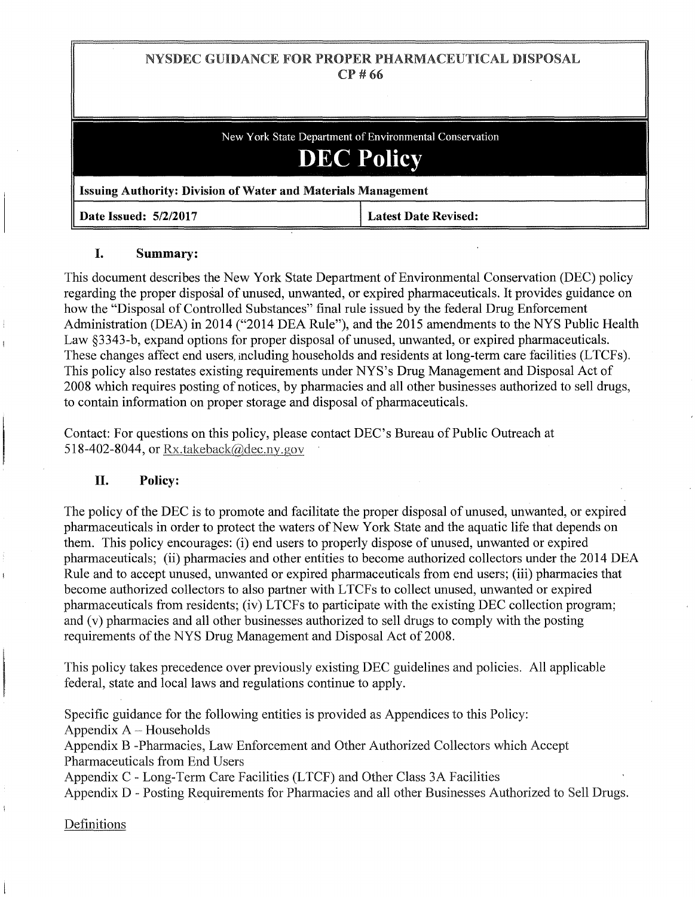# NYSDEC GUIDANCE FOR PROPER PHARMACEUTICAL DISPOSAL CP#66

New York State Department of Environmental Conservation **DEC Policy** Issuing Authority: Division of Water and Materials Management Date Issued: 5/2/2017 **Latest Date Revised:** 

# I. Summary:

This document describes the New York State Department of Environmental Conservation (DEC) policy regarding the proper disposal of unused, unwanted, or expired pharmaceuticals. It provides guidance on how the "Disposal of Controlled Substances" final rule issued by the federal Drug Enforcement Administration (DEA) in 2014 ("2014 DEA Rule"), and the 2015 amendments to the NYS Public Health Law §3343-b, expand options for proper disposal of unused, unwanted, or expired pharmaceuticals. These changes affect end users, including households and residents at long-term care facilities (LTCFs). This policy also restates existing requirements under NYS's Drug Management and Disposal Act of 2008 which requires posting of notices, by pharmacies and all other businesses authorized to sell drugs, to contain information on proper storage and disposal of pharmaceuticals.

Contact: For questions on this policy, please contact DEC's Bureau of Public Outreach at 518-402-8044, or Rx.takeback@dec.ny.gov

# H. Policy:

The policy of the DEC is to promote and facilitate the proper disposal of unused, unwanted, or expired pharmaceuticals in order to protect the waters of New York State and the aquatic life that depends on them. This policy encourages: (i) end users to properly dispose of unused, unwanted or expired pharmaceuticals; (ii) pharmacies and other entities to become authorized collectors under the 2014 DEA Rule and to accept unused, unwanted or expired pharmaceuticals from end users; (iii) pharmacies that become authorized collectors to also partner with LTCFs to collect unused, unwanted or expired pharmaceuticals from residents; (iv) LTCFs to participate with the existing DEC collection program; and (v) pharmacies and all other businesses authorized to sell drugs to comply with the posting requirements of the NYS Drug Management and Disposal Act of 2008.

This policy takes precedence over previously existing DEC guidelines and policies. All applicable federal, state and local laws and regulations continue to apply.

Specific guidance for the following entities is provided as Appendices to this Policy:

Appendix  $A$  – Households

Appendix B -Pharmacies, Law Enforcement and Other Authorized Collectors which Accept Pharmaceuticals from End Users

Appendix C- Long-Term Care Facilities (LTCF) and Other Class 3A Facilities

Appendix D - Posting Requirements for Pharmacies and all other Businesses Authorized to Sell Drugs.

Definitions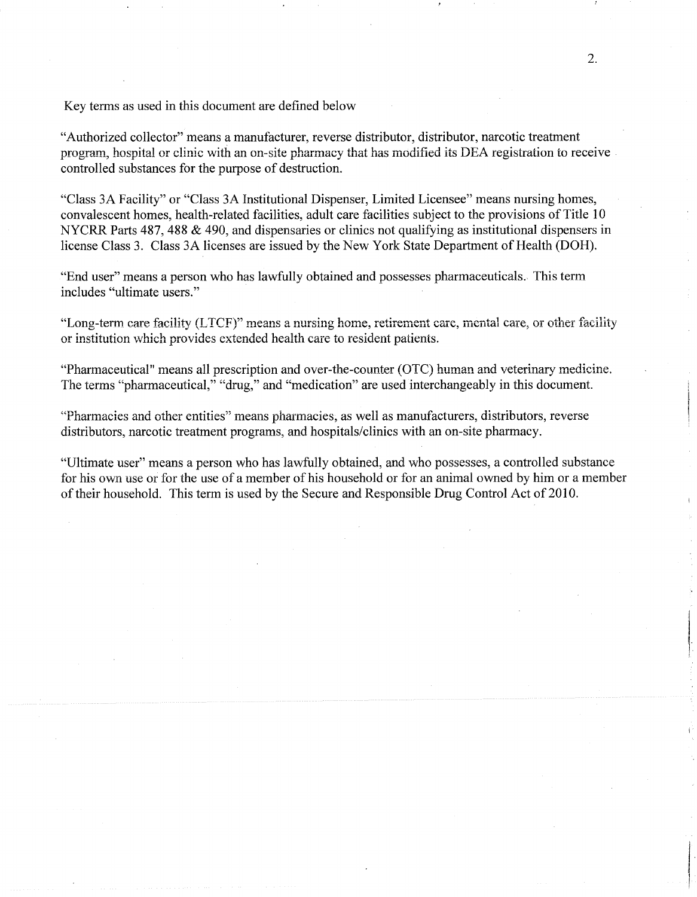Key terms as used in this document are defined below

"Authorized collector" means a manufacturer, reverse distributor, distributor, narcotic treatment program, hospital or clinic with an on~site pharmacy that has modified its DEA registration to receive controlled substances for the purpose of destruction.

"Class 3A Facility" or "Class 3A Institutional Dispenser, Limited Licensee" means nursing homes, convalescent homes, health-related facilities, adult care facilities subject to the provisions of Title 10 NYCRR Parts 487, 488 & 490, and dispensaries or clinics not qualifying as institutional dispensers in license Class 3. Class 3A licenses are issued by the New York State Department of Health (DOH).

"End user" means a person who has lawfully obtained and possesses pharmaceuticals. This term includes "ultimate users."

"Long-term care facility (LTCF)" means a nursing home, retirement care, mental care, or other facility or institution which provides extended health care to resident patients.

"Pharmaceutical" means all prescription and over-the-counter (OTC) human and veterinary medicine. The terms "pharmaceutical," "drug," and "medication" are used interchangeably in this document.

"Pharmacies and other entities" means pharmacies, as well as manufacturers, distributors, reverse distributors, narcotic treatment programs, and hospitals/clinics with an on-site pharmacy.

"Ultimate user" means a person who has lawfully obtained, and who possesses, a controlled substance for his own use or for the use of a member of his household or for an animal owned by him or a member of their household. This term is used by the Secure and Responsible Drug Control Act of 2010.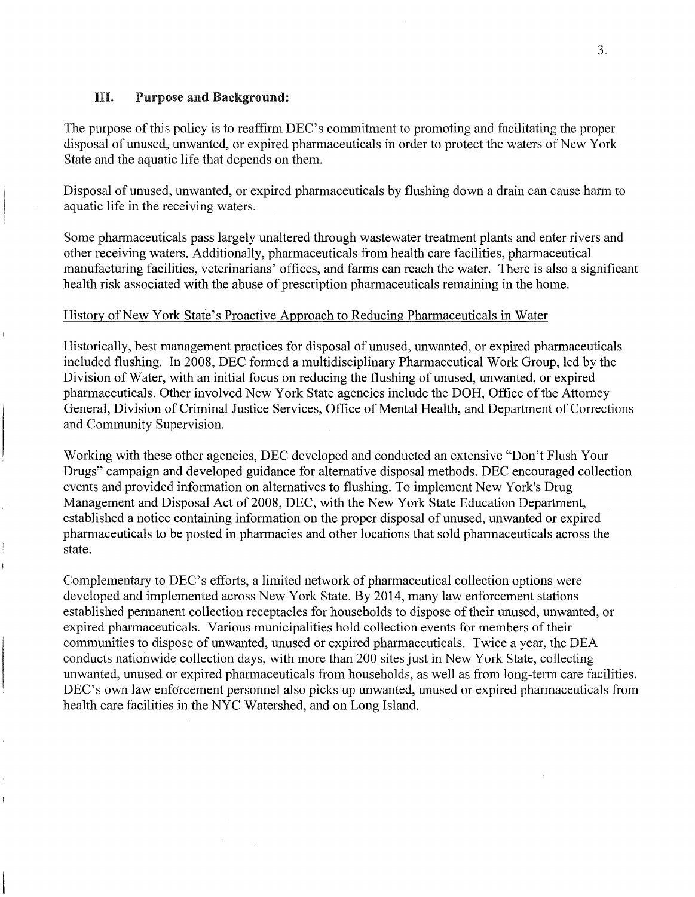# **HI.** Purpose and Background:

The purpose of this policy is to reaffirm DEC's commitment to promoting and facilitating the proper disposal of unused, unwanted, or expired pharmaceuticals in order to protect the waters of New York State and the aquatic life that depends on them.

Disposal of unused, unwanted, or expired pharmaceuticals by flushing down a drain can cause harm to aquatic life in the receiving waters.

Some pharmaceuticals pass largely unaltered through wastewater treatment plants and enter rivers and other receiving waters. Additionally, pharmaceuticals from health care facilities, pharmaceutical manufacturing facilities, veterinarians' offices, and farms can reach the water. There is also a significant health risk associated with the abuse of prescription pharmaceuticals remaining in the home.

### History of New York State's Proactive Approach to Reducing Pharmaceuticals in Water

Historically, best management practices for disposal of unused, unwanted, or expired pharmaceuticals included flushing. In 2008, DEC formed a multidisciplinary Pharmaceutical Work Group, led by the Division of Water, with an initial focus on reducing the flushing of unused, unwanted, or expired pharmaceuticals. Other involved New York State agencies include the DOH, Office of the Attorney General, Division of Criminal Justice Services, Office of Mental Health, and Department of Corrections and Community Supervision.

Working with these other agencies, DEC developed and conducted an extensive "Don't Flush Your Drugs" campaign and developed guidance for alternative disposal methods. DEC encouraged collection events and provided information on alternatives to flushing. To implement New York's Drug Management and Disposal Act of 2008, DEC, with the New York State Education Department, established a notice containing information on the proper disposal of unused, unwanted or expired pharmaceuticals to be posted in pharmacies and other locations that sold pharmaceuticals across the state.

Complementary to DEC's efforts, a limited network of pharmaceutical collection options were developed and implemented across New York State. By 2014, many law enforcement stations established permanent collection receptacles for households to dispose of their unused, unwanted, or expired pharmaceuticals. Various municipalities hold collection events for members of their communities to dispose of unwanted, unused or expired pharmaceuticals. Twice a year, the DEA conducts nationwide collection days, with more than 200 sites just in New York State, collecting unwanted, unused or expired pharmaceuticals from households, as well as from long-term care facilities. DEC's own law enforcement personnel also picks up unwanted, unused or expired pharmaceuticals from health care facilities in the NYC Watershed, and on Long Island.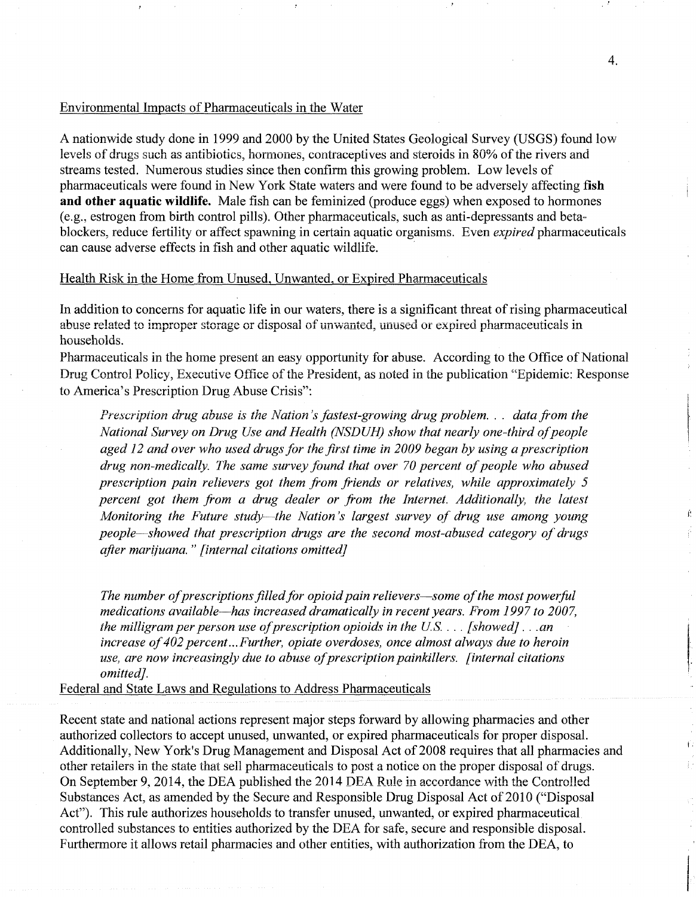#### Environmental Impacts of Pharmaceuticals in the Water

A nationwide study done in 1999 and 2000 by the United States Geological Survey (USGS) found low levels of drugs such as antibiotics, hormones, contraceptives and steroids in 80% of the rivers and streams tested. Numerous studies since then confirm this growing problem. Low levels of pharmaceuticals were found in New York State waters and were found to be adversely affecting **fish and other aquatic wildlife.** Male fish can be feminized (produce eggs) when exposed to hormones (e.g., estrogen from birth control pills). Other pharmaceuticals, such as anti-depressants and betablockers, reduce fertility or affect spawning in certain aquatic organisms. Even *expired* pharmaceuticals can cause adverse effects in fish and other aquatic wildlife.

### Health Risk in the Home from Unused, Unwanted, or Expired Pharmaceuticals

In addition to concerns for aquatic life in our waters, there is a significant threat of rising pharmaceutical abuse related to improper storage or disposal of unwanted, unused or expired pharmaceuticals in households.

Pharmaceuticals in the home present an easy opportunity for abuse. According to the Office of National Drug Control Policy, Executive Office of the President, as noted in the publication "Epidemic: Response to America's Prescription Drug Abuse Crisis":

*Prescription drug abuse is the Nation's fastest-growing drug problem.* . . *data from the National Survey on Drug Use and Health (NSDUH) show that nearly one-third of people aged 12 and over who used drugs for the first time in 2009 began by using a prescription drug non-medically. The same survey found that over 70 percent of people who abused prescription pain relievers got them from friends or relatives, while approximately 5 percent got them from a drug dealer or from the Internet. Additionally, the latest Monitoring the Future study-the Nation's largest survey of drug use among young people-showed that prescription drugs are the second most-abused category of drugs after marijuana.* " *[internal citations omitted]* 

*The number of prescriptions filled for opioid pain relievers-some of the most powerful medications available-has increased dramatically in recent years. From 1997 to 2007, the milligram per person use of prescription opioids in the US.* ... *[showed]* ... *an increase of 402 percent ... Further, opiate overdoses, once almost always due to heroin use, are now increasingly due to abuse of prescription painkillers. [internal citations omitted].* 

Federal and State Laws and Regulations to Address Pharmaceuticals

Recent state and national actions represent major steps forward by allowing pharmacies and other authorized collectors to accept unused, unwanted, or expired pharmaceuticals for proper disposal. Additionally, New York's Drug Management and Disposal Act of 2008 requires that all pharmacies and other retailers in the state that sell pharmaceuticals to post a notice on the proper disposal of drugs. On September 9, 2014, the DEA published the 2014 DEA Rule in accordance with the Controlled Substances Act, as amended by the Secure and Responsible Drug Disposal Act of 2010 ("Disposal Act"). This rule authorizes households to transfer unused, unwanted, or expired pharmaceutical controlled substances to entities authorized by the DEA for safe, secure and responsible disposal. Furthermore it allows retail pharmacies and other entities, with authorization from the DEA, to

t.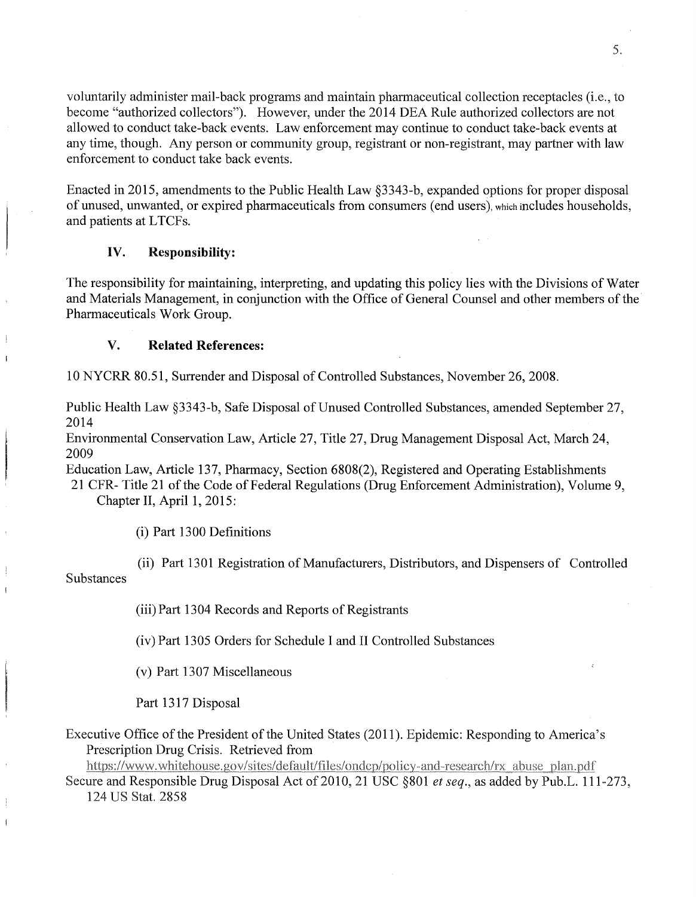voluntarily administer mail-back programs and maintain pharmaceutical collection receptacles (i.e., to become "authorized collectors"). However, under the 2014 DEA Rule authorized collectors are not allowed to conduct take-back events. Law enforcement may continue to conduct take-back events at any time, though. Any person or community group, registrant or non-registrant, may partner with law enforcement to conduct take back events.

Enacted in 2015, amendments to the Public Health Law §3343-b, expanded options for proper disposal of unused, unwanted, or expired pharmaceuticals from consumers (end users), which mcludes households, and patients at LTCFs.

## IV. **Responsibility:**

The responsibility for maintaining, interpreting, and updating this policy lies with the Divisions of Water and Materials Management, in conjunction with the Office of General Counsel and other members of the Pharmaceuticals Work Group.

## V. **Related References:**

10 NYCRR 80.51, Surrender and Disposal of Controlled Substances, November 26, 2008.

Public Health Law §3343-b, Safe Disposal of Unused Controlled Substances, amended September 27, 2014

Environmental Conservation Law, Article 27, Title 27, Drug Management Disposal Act, March 24, 2009

Education Law, Article 137, Pharmacy, Section 6808(2), Registered and Operating Establishments

21 CFR- Title 21 of the Code of Federal Regulations (Drug Enforcement Administration), Volume 9, Chapter II, April 1, 2015:

(i) Part 1300 Definitions

(ii) Part 1301 Registration of Manufacturers, Distributors, and Dispensers of Controlled Substances

(iii) Part 13 04 Records and Reports of Registrants

(iv) Part 1305 Orders for Schedule I and II Controlled Substances

(v) Part 1307 Miscellaneous

Part 1317 Disposal

Executive Office of the President of the United States (2011). Epidemic: Responding to America's Prescription Drug Crisis. Retrieved from

https://www.whitehouse.gov/sites/default/files/ondcp/policy-and-research/rx\_abuse\_plan.pdf Secure and Responsible Drug Disposal Act of 2010, 21 USC §801 *et seq.*, as added by Pub.L. 111-273, 124 US Stat. 2858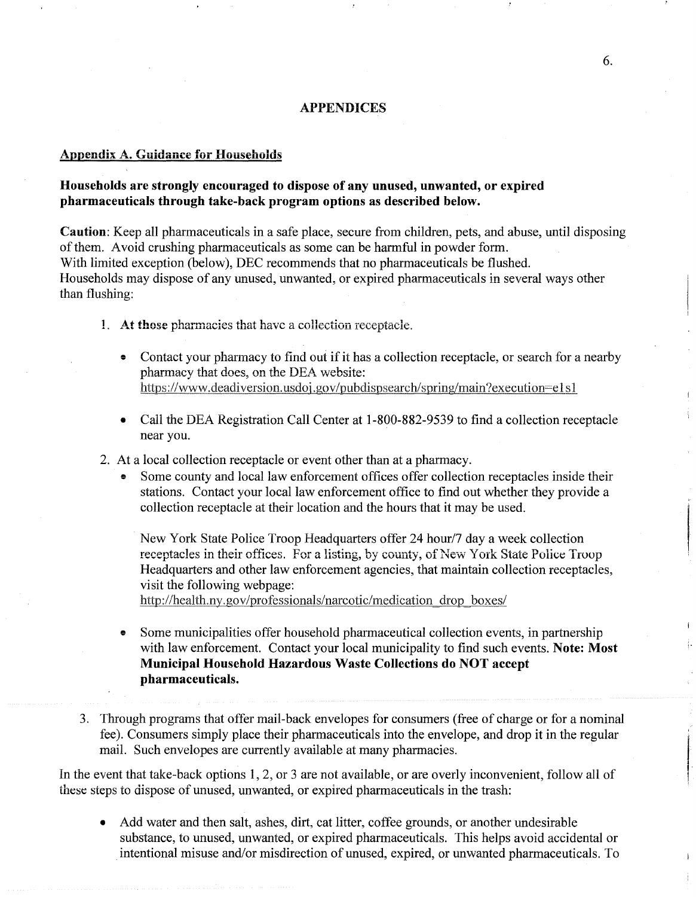#### APPENDICES

#### Appendix A. Guidance for Households

## Households are strongly encouraged to dispose of any unused, unwanted, or expired pharmaceuticals through take-back program options as described below.

Caution: Keep all pharmaceuticals in a safe place, secure from children, pets, and abuse, until disposing of them. Avoid crushing pharmaceuticals as some can be harmful in powder form. With limited exception (below), DEC recommends that no pharmaceuticals be flushed. Households may dispose of any unused, unwanted, or expired pharmaceuticals in several ways other than flushing:

- 1. At those pharmacies that have a collection receptacle.
	- Contact your pharmacy to find out if it has a collection receptacle, or search for a nearby pharmacy that does, on the DEA website: https://www.deadiversion.usdoj.gov/pubdispsearch/spring/main?execution=e1 s1
	- Call the DEA Registration Call Center at 1-800-882-9539 to find a collection receptacle near you.
- 2. At a local collection receptacle or event other than at a pharmacy.
	- Some county and local law enforcement offices offer collection receptacles inside their stations. Contact your local law enforcement office to find out whether they provide a collection receptacle at their location and the hours that it may be used.

New York State Police Troop Headquarters offer 24 hour/7 day a week collection receptacles in their offices. For a listing, by county, of New York State Police Troop Headquarters and other law enforcement agencies, that maintain collection receptacles, visit the following webpage:

http://health.ny.gov/professionals/narcotic/medication drop boxes/

- e Some municipalities offer household pharmaceutical collection events, in partnership with law enforcement. Contact your local municipality to find such events. Note: Most Municipal Household Hazardous Waste Collections do NOT accept pharmaceuticals.
- 3. Through programs that offer mail-back envelopes for consumers (free of charge or for a nominal fee). Consumers simply place their pharmaceuticals into the envelope, and drop it in the regular mail. Such envelopes are currently available at many pharmacies.

In the event that take-back options 1, 2, or 3 are not available, or are overly inconvenient, follow all of these steps to dispose of unused, unwanted, or expired pharmaceuticals in the trash:

• Add water and then salt, ashes, dirt, cat litter, coffee grounds, or another undesirable substance, to unused, unwanted, or expired pharmaceuticals. This helps avoid accidental or intentional misuse and/or misdirection of unused, expired, or unwanted pharmaceuticals. To **International Control** 

International Property of the United States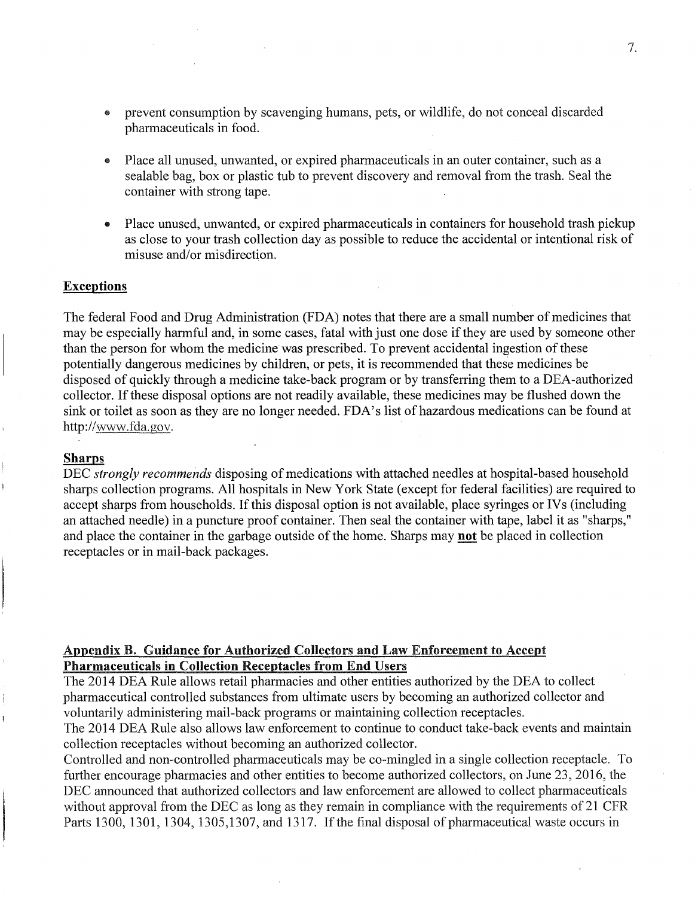- ® prevent consumption by scavenging humans, pets, or wildlife, do not conceal discarded pharmaceuticals in food.
- Place all unused, unwanted, or expired pharmaceuticals in an outer container, such as a sealable bag, box or plastic tub to prevent discovery and removal from the trash. Seal the container with strong tape.
- Place unused, unwanted, or expired pharmaceuticals in containers for household trash pickup as close to your trash collection day as possible to reduce the accidental or intentional risk of misuse and/or misdirection.

#### **Exceptions**

The federal Food and Drug Administration (FDA) notes that there are a small number of medicines that may be especially harmful and, in some cases, fatal with just one dose if they are used by someone other than the person for whom the medicine was prescribed. To prevent accidental ingestion of these potentially dangerous medicines by children, or pets, it is recommended that these medicines be disposed of quickly through a medicine take-back program or by transferring them to a DEA-authorized collector. If these disposal options are not readily available, these medicines may be flushed down the sink or toilet as soon as they are no longer needed. FDA's list of hazardous medications can be found at http://www.fda.gov.

#### **Sharps**

DEC *strongly recommends* disposing of medications with attached needles at hospital-based household sharps collection programs. All hospitals in New York State (except for federal facilities) are required to accept sharps from households. If this disposal option is not available, place syringes or IVs (including an attached needle) in a puncture proof container. Then seal the container with tape, label it as "sharps," and place the container in the garbage outside of the home. Sharps may **not** be placed in collection receptacles or in mail-back packages.

### Appendix B. Guidance for Authorized Collectors and Law Enforcement to Accept Pharmaceuticals in Collection Receptacles from End Users

The 2014 DEA Rule allows retail pharmacies and other entities authorized by the DEA to collect pharmaceutical controlled substances from ultimate users by becoming an authorized collector and voluntarily administering mail-back programs or maintaining collection receptacles.

The 2014 DEA Rule also allows law enforcement to continue to conduct take-back events and maintain collection receptacles without becoming an authorized collector.

Controlled and non-controlled pharmaceuticals may be co-mingled in a single collection receptacle. To further encourage pharmacies and other entities to become authorized collectors, on June 23, 2016, the DEC announced that authorized collectors and law enforcement are allowed to collect pharmaceuticals without approval from the DEC as long as they remain in compliance with the requirements of 21 CFR Parts 1300, 1301, 1304, 1305, 1307, and 1317. If the final disposal of pharmaceutical waste occurs in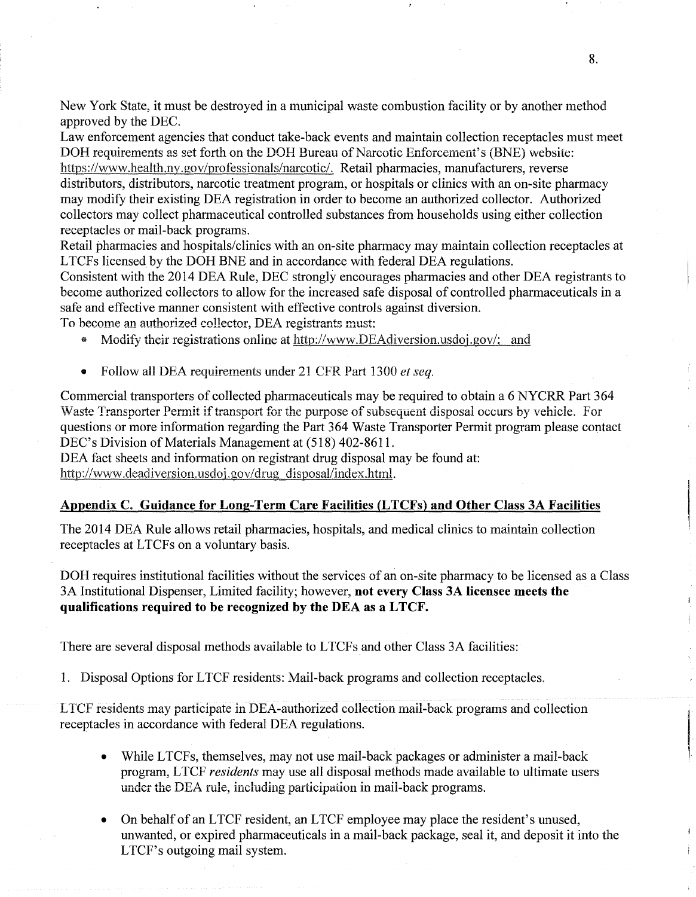New York State, it must be destroyed in a municipal waste combustion facility or by another method approved by the DEC.

Law enforcement agencies that conduct take-back events and maintain collection receptacles must meet DOH requirements as set forth on the DOH Bureau of Narcotic Enforcement's (BNE) website:

https://www.health.ny.gov/professionals/narcotic/. Retail pharmacies, manufacturers, reverse distributors, distributors, narcotic treatment program, or hospitals or clinics with an on-site pharmacy may modify their existing DEA registration in order to become an authorized collector. Authorized collectors may collect pharmaceutical controlled substances from households using either collection receptacles or mail-back programs.

Retail pharmacies and hospitals/clinics with an on-site pharmacy may maintain collection receptacles at L TCFs licensed by the DOH BNE and in accordance with federal DEA regulations.

Consistent with the 2014 DEA Rule, DEC strongly encourages pharmacies and other DEA registrants to become authorized collectors to allow for the increased safe disposal of controlled pharmaceuticals in a safe and effective manner consistent with effective controls against diversion.

To become an authorized collector, DEA registrants must:

- Modify their registrations online at http://www.DEAdiversion.usdoj.gov/; and
- Follow all DEA requirements under 21 CFR Part 1300 *et seq.*

Commercial transporters of collected pharmaceuticals may be required to obtain a 6 NYCRR Part 364 Waste Transporter Permit if transport for the purpose of subsequent disposal occurs by vehicle. For questions or more information regarding the Part 364 Waste Transporter Permit program please contact DEC's Division of Materials Management at (518) 402-8611.

DEA fact sheets and information on registrant drug disposal may be found at: http://www.deadiversion.usdoj.gov/drug disposal/index.html.

### Appendix C. Guidance for Long-Term Care Facilities {L TCFs) and Other Class 3A Facilities

The 2014 DEA Rule allows retail pharmacies, hospitals, and medical clinics to maintain collection receptacles at LTCFs on a voluntary basis.

DOH requires institutional facilities without the services of an on-site pharmacy to be licensed as a Class 3A Institutional Dispenser, Limited facility; however, not every Class 3A licensee meets the qualifications required to be recognized by the DEA as a LTCF.

There are several disposal methods available to LTCFs and other Class 3A facilities:

1. Disposal Options for LTCF residents: Mail-back programs and collection receptacles.

LTCF residents may participate in DEA-authorized collection mail-back programs and collection receptacles in accordance with federal DEA regulations.

- While LTCFs, themselves, may not use mail-back packages or administer a mail-back program, L TCF *residents* may use all disposal methods made available to ultimate users under the DEA rule, including participation in mail-back programs.
- On behalf of an LTCF resident, an LTCF employee may place the resident's unused, unwanted, or expired pharmaceuticals in a mail-back package, seal it, and deposit it into the LTCF's outgoing mail system.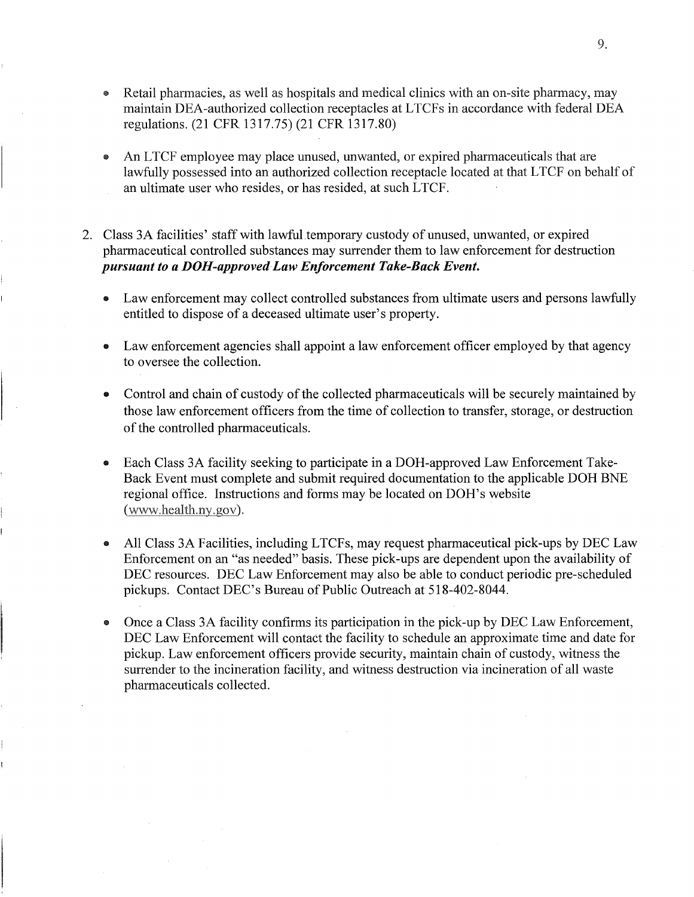- Retail pharmacies, as well as hospitals and medical clinics with an on-site pharmacy, may maintain DEA-authorized collection receptacles at LTCFs in accordance with federal DEA regulations. (21 CFR 1317.75) (21 CFR 1317.80)
- An LTCF employee may place unused, unwanted, or expired pharmaceuticals that are lawfully possessed into an authorized collection receptacle located at that LTCF on behalf of an ultimate user who resides, or has resided, at such LTCF.
- 2. Class 3A facilities' staff with lawful temporary custody of unused, unwanted, or expired pharmaceutical controlled substances may surrender them to law enforcement for destruction *pursuant to a DOH-approved Law Enforcement Take-Back Event.* 
	- Law enforcement may collect controlled substances from ultimate users and persons lawfully entitled to dispose of a deceased ultimate user's property.
	- Law enforcement agencies shall appoint a law enforcement officer employed by that agency to oversee the collection.
	- Control and chain of custody of the collected pharmaceuticals will be securely maintained by those law enforcement officers from the time of collection to transfer, storage, or destruction of the controlled pharmaceuticals.
	- Each Class 3A facility seeking to participate in a DOH-approved Law Enforcement Take-Back Event must complete and submit required documentation to the applicable DOH BNE regional office. Instructions and forms may be located on DOH's website (www.health.ny.gov).
	- ~~~ All Class 3A Facilities, including LTCFs, may request pharmaceutical pick-ups by DEC Law Enforcement on an "as needed" basis. These pick-ups are dependent upon the availability of DEC resources. DEC Law Enforcement may also be able to conduct periodic pre-scheduled pickups. Contact DEC's Bureau of Public Outreach at 518-402-8044.
	- ~~~ Once a Class 3A facility confirms its participation in the pick-up by DEC Law Enforcement, DEC Law Enforcement will contact the facility to schedule an approximate time and date for pickup. Law enforcement officers provide security, maintain chain of custody, witness the surrender to the incineration facility, and witness destruction via incineration of all waste pharmaceuticals collected.